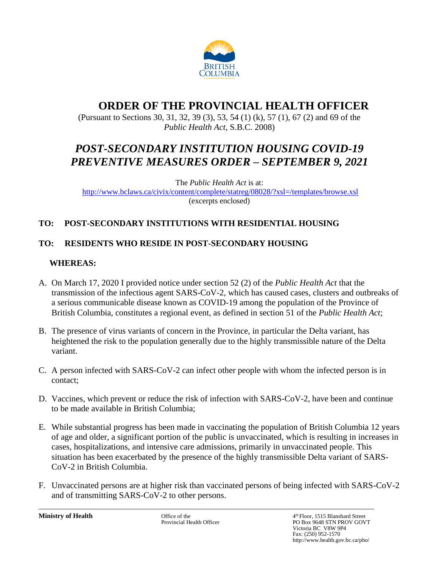

# **ORDER OF THE PROVINCIAL HEALTH OFFICER**

(Pursuant to Sections 30, 31, 32, 39 (3), 53, 54 (1) (k), 57 (1), 67 (2) and 69 of the *Public Health Act*, S.B.C. 2008)

# *POST-SECONDARY INSTITUTION HOUSING COVID-19 PREVENTIVE MEASURES ORDER – SEPTEMBER 9, 2021*

The *Public Health Act* is at: <http://www.bclaws.ca/civix/content/complete/statreg/08028/?xsl=/templates/browse.xsl> (excerpts enclosed)

# **TO: POST-SECONDARY INSTITUTIONS WITH RESIDENTIAL HOUSING**

# **TO: RESIDENTS WHO RESIDE IN POST-SECONDARY HOUSING**

# **WHEREAS:**

- A. On March 17, 2020 I provided notice under section 52 (2) of the *Public Health Act* that the transmission of the infectious agent SARS-CoV-2, which has caused cases, clusters and outbreaks of a serious communicable disease known as COVID-19 among the population of the Province of British Columbia, constitutes a regional event, as defined in section 51 of the *Public Health Act*;
- B. The presence of virus variants of concern in the Province, in particular the Delta variant, has heightened the risk to the population generally due to the highly transmissible nature of the Delta variant.
- C. A person infected with SARS-CoV-2 can infect other people with whom the infected person is in contact;
- D. Vaccines, which prevent or reduce the risk of infection with SARS-CoV-2, have been and continue to be made available in British Columbia;
- E. While substantial progress has been made in vaccinating the population of British Columbia 12 years of age and older, a significant portion of the public is unvaccinated, which is resulting in increases in cases, hospitalizations, and intensive care admissions, primarily in unvaccinated people. This situation has been exacerbated by the presence of the highly transmissible Delta variant of SARS-CoV-2 in British Columbia.
- F. Unvaccinated persons are at higher risk than vaccinated persons of being infected with SARS-CoV-2 and of transmitting SARS-CoV-2 to other persons.

**Ministry of Health** Office of the 4 Office of the 4 Officer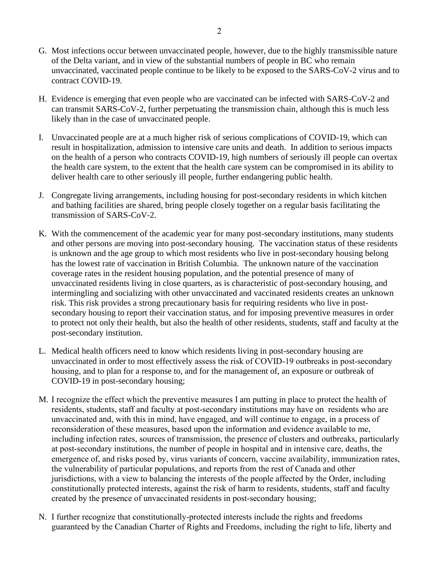- G. Most infections occur between unvaccinated people, however, due to the highly transmissible nature of the Delta variant, and in view of the substantial numbers of people in BC who remain unvaccinated, vaccinated people continue to be likely to be exposed to the SARS-CoV-2 virus and to contract COVID-19.
- H. Evidence is emerging that even people who are vaccinated can be infected with SARS-CoV-2 and can transmit SARS-CoV-2, further perpetuating the transmission chain, although this is much less likely than in the case of unvaccinated people.
- I. Unvaccinated people are at a much higher risk of serious complications of COVID-19, which can result in hospitalization, admission to intensive care units and death. In addition to serious impacts on the health of a person who contracts COVID-19, high numbers of seriously ill people can overtax the health care system, to the extent that the health care system can be compromised in its ability to deliver health care to other seriously ill people, further endangering public health.
- J. Congregate living arrangements, including housing for post-secondary residents in which kitchen and bathing facilities are shared, bring people closely together on a regular basis facilitating the transmission of SARS-CoV-2.
- K. With the commencement of the academic year for many post-secondary institutions, many students and other persons are moving into post-secondary housing. The vaccination status of these residents is unknown and the age group to which most residents who live in post-secondary housing belong has the lowest rate of vaccination in British Columbia. The unknown nature of the vaccination coverage rates in the resident housing population, and the potential presence of many of unvaccinated residents living in close quarters, as is characteristic of post-secondary housing, and intermingling and socializing with other unvaccinated and vaccinated residents creates an unknown risk. This risk provides a strong precautionary basis for requiring residents who live in postsecondary housing to report their vaccination status, and for imposing preventive measures in order to protect not only their health, but also the health of other residents, students, staff and faculty at the post-secondary institution.
- L. Medical health officers need to know which residents living in post-secondary housing are unvaccinated in order to most effectively assess the risk of COVID-19 outbreaks in post-secondary housing, and to plan for a response to, and for the management of, an exposure or outbreak of COVID-19 in post-secondary housing;
- M. I recognize the effect which the preventive measures I am putting in place to protect the health of residents, students, staff and faculty at post-secondary institutions may have on residents who are unvaccinated and, with this in mind, have engaged, and will continue to engage, in a process of reconsideration of these measures, based upon the information and evidence available to me, including infection rates, sources of transmission, the presence of clusters and outbreaks, particularly at post-secondary institutions, the number of people in hospital and in intensive care, deaths, the emergence of, and risks posed by, virus variants of concern, vaccine availability, immunization rates, the vulnerability of particular populations, and reports from the rest of Canada and other jurisdictions, with a view to balancing the interests of the people affected by the Order, including constitutionally protected interests, against the risk of harm to residents, students, staff and faculty created by the presence of unvaccinated residents in post-secondary housing;
- N. I further recognize that constitutionally-protected interests include the rights and freedoms guaranteed by the Canadian Charter of Rights and Freedoms, including the right to life, liberty and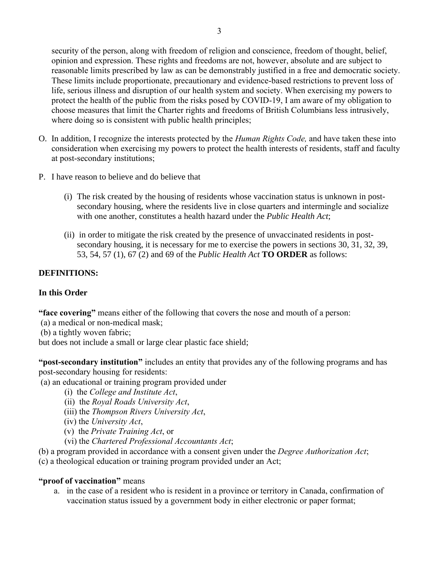security of the person, along with freedom of religion and conscience, freedom of thought, belief, opinion and expression. These rights and freedoms are not, however, absolute and are subject to reasonable limits prescribed by law as can be demonstrably justified in a free and democratic society. These limits include proportionate, precautionary and evidence-based restrictions to prevent loss of life, serious illness and disruption of our health system and society. When exercising my powers to protect the health of the public from the risks posed by COVID-19, I am aware of my obligation to choose measures that limit the Charter rights and freedoms of British Columbians less intrusively, where doing so is consistent with public health principles;

- O. In addition, I recognize the interests protected by the *Human Rights Code,* and have taken these into consideration when exercising my powers to protect the health interests of residents, staff and faculty at post-secondary institutions;
- P. I have reason to believe and do believe that
	- (i) The risk created by the housing of residents whose vaccination status is unknown in postsecondary housing, where the residents live in close quarters and intermingle and socialize with one another, constitutes a health hazard under the *Public Health Act*;
	- (ii) in order to mitigate the risk created by the presence of unvaccinated residents in postsecondary housing, it is necessary for me to exercise the powers in sections 30, 31, 32, 39, 53, 54, 57 (1), 67 (2) and 69 of the *Public Health Act* **TO ORDER** as follows:

# **DEFINITIONS:**

# **In this Order**

**"face covering"** means either of the following that covers the nose and mouth of a person:

- (a) a medical or non-medical mask;
- (b) a tightly woven fabric;

but does not include a small or large clear plastic face shield;

**"post-secondary institution"** includes an entity that provides any of the following programs and has post-secondary housing for residents:

- (a) an educational or training program provided under
	- (i) the *College and Institute Act*,
	- (ii) the *Royal Roads University Act*,
	- (iii) the *Thompson Rivers University Act*,
	- (iv) the *University Act*,
	- (v) the *Private Training Act*, or
	- (vi) the *Chartered Professional Accountants Act*;
- (b) a program provided in accordance with a consent given under the *Degree Authorization Act*;
- (c) a theological education or training program provided under an Act;

# **"proof of vaccination"** means

a. in the case of a resident who is resident in a province or territory in Canada, confirmation of vaccination status issued by a government body in either electronic or paper format;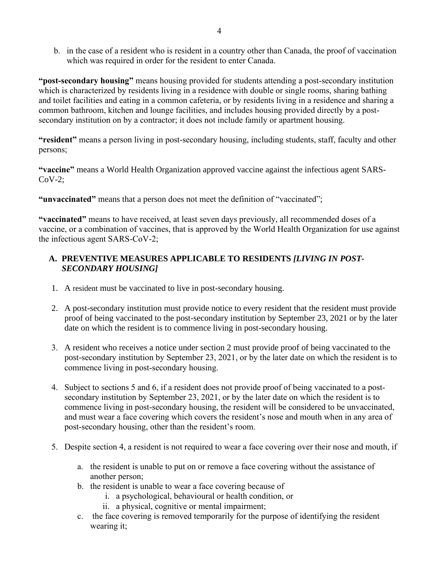b. in the case of a resident who is resident in a country other than Canada, the proof of vaccination which was required in order for the resident to enter Canada.

**"post-secondary housing"** means housing provided for students attending a post-secondary institution which is characterized by residents living in a residence with double or single rooms, sharing bathing and toilet facilities and eating in a common cafeteria, or by residents living in a residence and sharing a common bathroom, kitchen and lounge facilities, and includes housing provided directly by a postsecondary institution on by a contractor; it does not include family or apartment housing.

**"resident"** means a person living in post-secondary housing, including students, staff, faculty and other persons;

**"vaccine"** means a World Health Organization approved vaccine against the infectious agent SARS- $CoV-2$ :

**"unvaccinated"** means that a person does not meet the definition of "vaccinated";

**"vaccinated"** means to have received, at least seven days previously, all recommended doses of a vaccine, or a combination of vaccines, that is approved by the World Health Organization for use against the infectious agent SARS-CoV-2;

# **A. PREVENTIVE MEASURES APPLICABLE TO RESIDENTS** *[LIVING IN POST-SECONDARY HOUSING]*

- 1. A resident must be vaccinated to live in post-secondary housing.
- 2. A post-secondary institution must provide notice to every resident that the resident must provide proof of being vaccinated to the post-secondary institution by September 23, 2021 or by the later date on which the resident is to commence living in post-secondary housing.
- 3. A resident who receives a notice under section 2 must provide proof of being vaccinated to the post-secondary institution by September 23, 2021, or by the later date on which the resident is to commence living in post-secondary housing.
- 4. Subject to sections 5 and 6, if a resident does not provide proof of being vaccinated to a postsecondary institution by September 23, 2021, or by the later date on which the resident is to commence living in post-secondary housing, the resident will be considered to be unvaccinated, and must wear a face covering which covers the resident's nose and mouth when in any area of post-secondary housing, other than the resident's room.
- 5. Despite section 4, a resident is not required to wear a face covering over their nose and mouth, if
	- a. the resident is unable to put on or remove a face covering without the assistance of another person;
	- b. the resident is unable to wear a face covering because of
		- i. a psychological, behavioural or health condition, or
		- ii. a physical, cognitive or mental impairment;
	- c. the face covering is removed temporarily for the purpose of identifying the resident wearing it;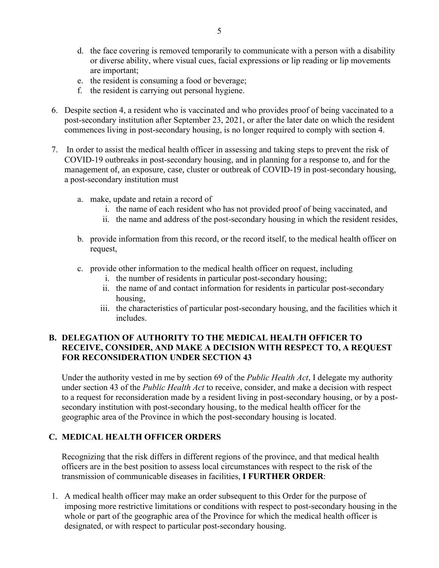- d. the face covering is removed temporarily to communicate with a person with a disability or diverse ability, where visual cues, facial expressions or lip reading or lip movements are important;
- e. the resident is consuming a food or beverage;
- f. the resident is carrying out personal hygiene.
- 6. Despite section 4, a resident who is vaccinated and who provides proof of being vaccinated to a post-secondary institution after September 23, 2021, or after the later date on which the resident commences living in post-secondary housing, is no longer required to comply with section 4.
- 7. In order to assist the medical health officer in assessing and taking steps to prevent the risk of COVID-19 outbreaks in post-secondary housing, and in planning for a response to, and for the management of, an exposure, case, cluster or outbreak of COVID-19 in post-secondary housing, a post-secondary institution must
	- a. make, update and retain a record of
		- i. the name of each resident who has not provided proof of being vaccinated, and
		- ii. the name and address of the post-secondary housing in which the resident resides,
	- b. provide information from this record, or the record itself, to the medical health officer on request,
	- c. provide other information to the medical health officer on request, including
		- i. the number of residents in particular post-secondary housing;
		- ii. the name of and contact information for residents in particular post-secondary housing,
		- iii. the characteristics of particular post-secondary housing, and the facilities which it includes.

# **B. DELEGATION OF AUTHORITY TO THE MEDICAL HEALTH OFFICER TO RECEIVE, CONSIDER, AND MAKE A DECISION WITH RESPECT TO, A REQUEST FOR RECONSIDERATION UNDER SECTION 43**

Under the authority vested in me by section 69 of the *Public Health Act*, I delegate my authority under section 43 of the *Public Health Act* to receive, consider, and make a decision with respect to a request for reconsideration made by a resident living in post-secondary housing, or by a postsecondary institution with post-secondary housing, to the medical health officer for the geographic area of the Province in which the post-secondary housing is located.

# **C. MEDICAL HEALTH OFFICER ORDERS**

Recognizing that the risk differs in different regions of the province, and that medical health officers are in the best position to assess local circumstances with respect to the risk of the transmission of communicable diseases in facilities, **I FURTHER ORDER**:

1. A medical health officer may make an order subsequent to this Order for the purpose of imposing more restrictive limitations or conditions with respect to post-secondary housing in the whole or part of the geographic area of the Province for which the medical health officer is designated, or with respect to particular post-secondary housing.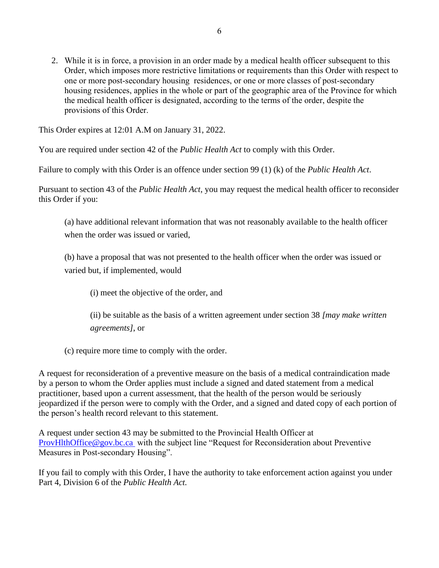2. While it is in force, a provision in an order made by a medical health officer subsequent to this Order, which imposes more restrictive limitations or requirements than this Order with respect to one or more post-secondary housing residences, or one or more classes of post-secondary housing residences, applies in the whole or part of the geographic area of the Province for which the medical health officer is designated, according to the terms of the order, despite the provisions of this Order.

This Order expires at 12:01 A.M on January 31, 2022.

You are required under section 42 of the *Public Health Act* to comply with this Order.

Failure to comply with this Order is an offence under section 99 (1) (k) of the *Public Health Act*.

Pursuant to section 43 of the *Public Health Act*, you may request the medical health officer to reconsider this Order if you:

(a) have additional relevant information that was not reasonably available to the health officer when the order was issued or varied,

(b) have a proposal that was not presented to the health officer when the order was issued or varied but, if implemented, would

(i) meet the objective of the order, and

(ii) be suitable as the basis of a written agreement under section 38 *[may make written agreements]*, or

(c) require more time to comply with the order.

A request for reconsideration of a preventive measure on the basis of a medical contraindication made by a person to whom the Order applies must include a signed and dated statement from a medical practitioner, based upon a current assessment, that the health of the person would be seriously jeopardized if the person were to comply with the Order, and a signed and dated copy of each portion of the person's health record relevant to this statement.

A request under section 43 may be submitted to the Provincial Health Officer at [ProvHlthOffice@gov.bc.ca](mailto:ProvHlthOffice@gov.bc.ca) with the subject line "Request for Reconsideration about Preventive Measures in Post-secondary Housing".

If you fail to comply with this Order, I have the authority to take enforcement action against you under Part 4, Division 6 of the *Public Health Act.*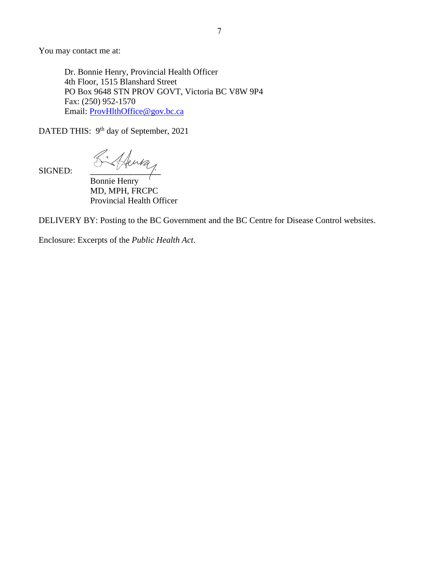You may contact me at:

Dr. Bonnie Henry, Provincial Health Officer 4th Floor, 1515 Blanshard Street PO Box 9648 STN PROV GOVT, Victoria BC V8W 9P4 Fax: (250) 952-1570 Email: [ProvHlthOffice@gov.bc.ca](mailto:ProvHlthOffice@gov.bc.ca)

DATED THIS: 9<sup>th</sup> day of September, 2021

SIGNED:  $\begin{matrix} & \mathcal{K}^* \end{matrix}$  Henry

Bonnie Henry MD, MPH, FRCPC Provincial Health Officer

DELIVERY BY: Posting to the BC Government and the BC Centre for Disease Control websites.

Enclosure: Excerpts of the *Public Health Act*.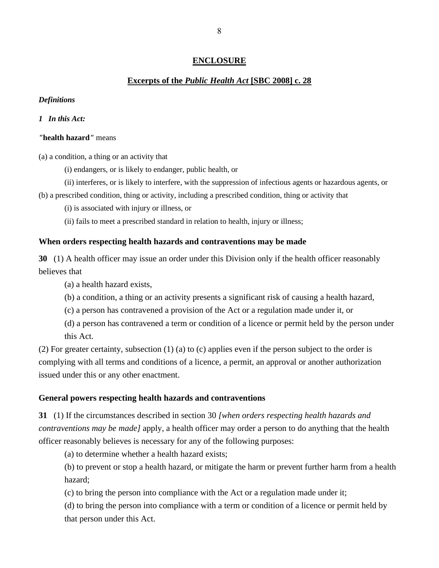### **ENCLOSURE**

### **Excerpts of the** *Public Health Act* **[SBC 2008] c. 28**

#### *Definitions*

#### *1 In this Act:*

#### *"***health hazard***"* means

(a) a condition, a thing or an activity that

- (i) endangers, or is likely to endanger, public health, or
- (ii) interferes, or is likely to interfere, with the suppression of infectious agents or hazardous agents, or
- (b) a prescribed condition, thing or activity, including a prescribed condition, thing or activity that
	- (i) is associated with injury or illness, or
	- (ii) fails to meet a prescribed standard in relation to health, injury or illness;

#### **When orders respecting health hazards and contraventions may be made**

**30** (1) A health officer may issue an order under this Division only if the health officer reasonably believes that

(a) a health hazard exists,

- (b) a condition, a thing or an activity presents a significant risk of causing a health hazard,
- (c) a person has contravened a provision of the Act or a regulation made under it, or

(d) a person has contravened a term or condition of a licence or permit held by the person under this Act.

(2) For greater certainty, subsection (1) (a) to (c) applies even if the person subject to the order is complying with all terms and conditions of a licence, a permit, an approval or another authorization issued under this or any other enactment.

#### **General powers respecting health hazards and contraventions**

**31** (1) If the circumstances described in section 30 *[when orders respecting health hazards and contraventions may be made]* apply, a health officer may order a person to do anything that the health officer reasonably believes is necessary for any of the following purposes:

(a) to determine whether a health hazard exists;

(b) to prevent or stop a health hazard, or mitigate the harm or prevent further harm from a health hazard;

(c) to bring the person into compliance with the Act or a regulation made under it;

(d) to bring the person into compliance with a term or condition of a licence or permit held by that person under this Act.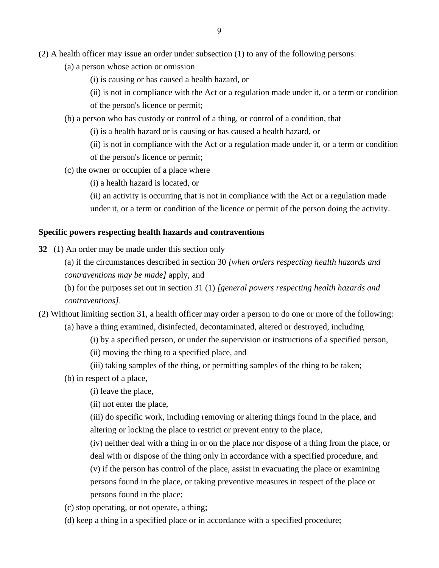- (a) a person whose action or omission
	- (i) is causing or has caused a health hazard, or
	- (ii) is not in compliance with the Act or a regulation made under it, or a term or condition

of the person's licence or permit;

- (b) a person who has custody or control of a thing, or control of a condition, that
	- (i) is a health hazard or is causing or has caused a health hazard, or
	- (ii) is not in compliance with the Act or a regulation made under it, or a term or condition of the person's licence or permit;
- (c) the owner or occupier of a place where
	- (i) a health hazard is located, or

(ii) an activity is occurring that is not in compliance with the Act or a regulation made under it, or a term or condition of the licence or permit of the person doing the activity.

#### **Specific powers respecting health hazards and contraventions**

- **32** (1) An order may be made under this section only
	- (a) if the circumstances described in section 30 *[when orders respecting health hazards and contraventions may be made]* apply, and

(b) for the purposes set out in section 31 (1) *[general powers respecting health hazards and contraventions]*.

- (2) Without limiting section 31, a health officer may order a person to do one or more of the following: (a) have a thing examined, disinfected, decontaminated, altered or destroyed, including
	- (i) by a specified person, or under the supervision or instructions of a specified person,
	- (ii) moving the thing to a specified place, and
	- (iii) taking samples of the thing, or permitting samples of the thing to be taken;
	- (b) in respect of a place,
		- (i) leave the place,
		- (ii) not enter the place,
		- (iii) do specific work, including removing or altering things found in the place, and altering or locking the place to restrict or prevent entry to the place,
		- (iv) neither deal with a thing in or on the place nor dispose of a thing from the place, or deal with or dispose of the thing only in accordance with a specified procedure, and
		- (v) if the person has control of the place, assist in evacuating the place or examining persons found in the place, or taking preventive measures in respect of the place or persons found in the place;
	- (c) stop operating, or not operate, a thing;
	- (d) keep a thing in a specified place or in accordance with a specified procedure;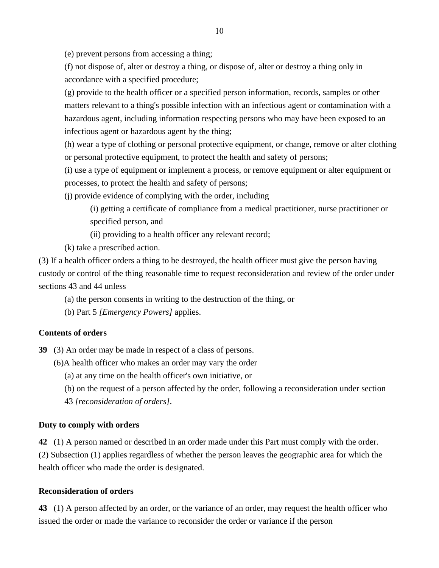(e) prevent persons from accessing a thing;

(f) not dispose of, alter or destroy a thing, or dispose of, alter or destroy a thing only in accordance with a specified procedure;

(g) provide to the health officer or a specified person information, records, samples or other matters relevant to a thing's possible infection with an infectious agent or contamination with a hazardous agent, including information respecting persons who may have been exposed to an infectious agent or hazardous agent by the thing;

(h) wear a type of clothing or personal protective equipment, or change, remove or alter clothing or personal protective equipment, to protect the health and safety of persons;

(i) use a type of equipment or implement a process, or remove equipment or alter equipment or processes, to protect the health and safety of persons;

(j) provide evidence of complying with the order, including

(i) getting a certificate of compliance from a medical practitioner, nurse practitioner or specified person, and

(ii) providing to a health officer any relevant record;

(k) take a prescribed action.

(3) If a health officer orders a thing to be destroyed, the health officer must give the person having custody or control of the thing reasonable time to request reconsideration and review of the order under sections 43 and 44 unless

(a) the person consents in writing to the destruction of the thing, or

(b) Part 5 *[Emergency Powers]* applies.

### **Contents of orders**

**39** (3) An order may be made in respect of a class of persons.

- (6)A health officer who makes an order may vary the order
	- (a) at any time on the health officer's own initiative, or
	- (b) on the request of a person affected by the order, following a reconsideration under section
	- 43 *[reconsideration of orders]*.

### **Duty to comply with orders**

**42** (1) A person named or described in an order made under this Part must comply with the order. (2) Subsection (1) applies regardless of whether the person leaves the geographic area for which the health officer who made the order is designated.

### **Reconsideration of orders**

**43** (1) A person affected by an order, or the variance of an order, may request the health officer who issued the order or made the variance to reconsider the order or variance if the person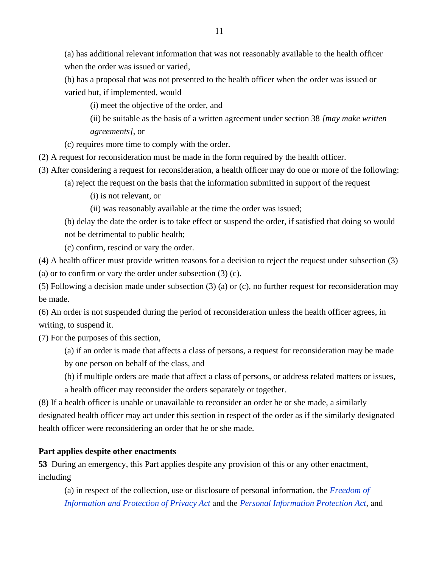(a) has additional relevant information that was not reasonably available to the health officer when the order was issued or varied,

(b) has a proposal that was not presented to the health officer when the order was issued or varied but, if implemented, would

(i) meet the objective of the order, and

(ii) be suitable as the basis of a written agreement under section 38 *[may make written agreements]*, or

(c) requires more time to comply with the order.

(2) A request for reconsideration must be made in the form required by the health officer.

(3) After considering a request for reconsideration, a health officer may do one or more of the following:

(a) reject the request on the basis that the information submitted in support of the request

(i) is not relevant, or

(ii) was reasonably available at the time the order was issued;

(b) delay the date the order is to take effect or suspend the order, if satisfied that doing so would not be detrimental to public health;

(c) confirm, rescind or vary the order.

(4) A health officer must provide written reasons for a decision to reject the request under subsection (3)

(a) or to confirm or vary the order under subsection (3) (c).

(5) Following a decision made under subsection (3) (a) or (c), no further request for reconsideration may be made.

(6) An order is not suspended during the period of reconsideration unless the health officer agrees, in writing, to suspend it.

(7) For the purposes of this section,

(a) if an order is made that affects a class of persons, a request for reconsideration may be made by one person on behalf of the class, and

(b) if multiple orders are made that affect a class of persons, or address related matters or issues,

a health officer may reconsider the orders separately or together.

(8) If a health officer is unable or unavailable to reconsider an order he or she made, a similarly designated health officer may act under this section in respect of the order as if the similarly designated health officer were reconsidering an order that he or she made.

# **Part applies despite other enactments**

**53** During an emergency, this Part applies despite any provision of this or any other enactment, including

(a) in respect of the collection, use or disclosure of personal information, the *[Freedom of](https://www.bclaws.gov.bc.ca/civix/document/id/complete/statreg/96165_00)  [Information and Protection of Privacy Act](https://www.bclaws.gov.bc.ca/civix/document/id/complete/statreg/96165_00)* and the *[Personal Information Protection Act](https://www.bclaws.gov.bc.ca/civix/document/id/complete/statreg/03063_01)*, and